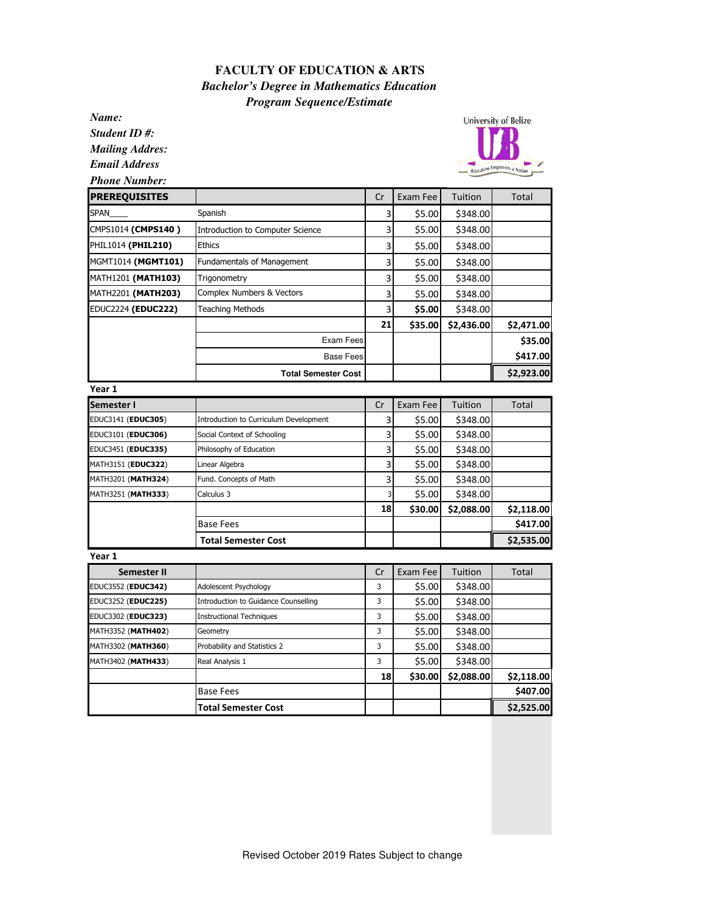## **FACULTY OF EDUCATION & ARTS**  *Bachelor's Degree in Mathematics Education Program Sequence/Estimate*

*Name:*

*Student ID #: Mailing Addres: Email Address*

*Phone Number:*



| Phone Number:        |                                         |    |          |                |              |
|----------------------|-----------------------------------------|----|----------|----------------|--------------|
| <b>PREREQUISITES</b> |                                         | Cr | Exam Fee | Tuition        | Total        |
| SPAN                 | Spanish                                 | 3  | \$5.00   | \$348.00       |              |
| CMPS1014 (CMPS140)   | <b>Introduction to Computer Science</b> | 3  | \$5.00   | \$348.00       |              |
| PHIL1014 (PHIL210)   | <b>Ethics</b>                           | 3  | \$5.00   | \$348.00       |              |
| MGMT1014 (MGMT101)   | <b>Fundamentals of Management</b>       | 3  | \$5.00   | \$348.00       |              |
| MATH1201 (MATH103)   | Trigonometry                            | 3  | \$5.00   | \$348.00       |              |
| MATH2201 (MATH203)   | Complex Numbers & Vectors               | 3  | \$5.00   | \$348.00       |              |
| EDUC2224 (EDUC222)   | Teaching Methods                        | 3  | \$5.00   | \$348.00       |              |
|                      |                                         | 21 | \$35.00  | \$2,436.00     | \$2,471.00   |
|                      | Exam Fees                               |    |          |                | \$35.00      |
|                      | <b>Base Fees</b>                        |    |          |                | \$417.00     |
|                      | <b>Total Semester Cost</b>              |    |          |                | \$2,923.00   |
| Year 1               |                                         |    |          |                |              |
| Semester I           |                                         | Cr | Exam Fee | <b>Tuition</b> | <b>Total</b> |
| EDUC3141 (EDUC305)   | Introduction to Curriculum Development  | 3  | \$5.00   | \$348.00       |              |
| EDUC3101 (EDUC306)   | Social Context of Schooling             | 3  | \$5.00   | \$348.00       |              |
| EDUC3451 (EDUC335)   | Philosophy of Education                 | 3  | \$5.00   | \$348.00       |              |
| MATH3151 (EDUC322)   | Linear Algebra                          | 3  | \$5.00   | \$348.00       |              |
| MATH3201 (MATH324)   | Fund. Concepts of Math                  | 3  | \$5.00   | \$348.00       |              |
| MATH3251 (MATH333)   | Calculus 3                              | 3  | \$5.00   | \$348.00       |              |
|                      |                                         | 18 | \$30.00  | \$2,088.00     | \$2,118.00   |
|                      | <b>Base Fees</b>                        |    |          |                | \$417.00     |
|                      | <b>Total Semester Cost</b>              |    |          |                | \$2,535.00   |
| Year 1               |                                         |    |          |                |              |
| <b>Semester II</b>   |                                         | Cr | Exam Fee | <b>Tuition</b> | <b>Total</b> |
| EDUC3552 (EDUC342)   | Adolescent Psychology                   | 3  | \$5.00   | \$348.00       |              |
| EDUC3252 (EDUC225)   | Introduction to Guidance Counselling    | 3  | \$5.00   | \$348.00       |              |
| EDUC3302 (EDUC323)   | <b>Instructional Techniques</b>         | 3  | \$5.00   | \$348.00       |              |
| MATH3352 (MATH402)   | Geometry                                | 3  | \$5.00   | \$348.00       |              |
| MATH3302 (MATH360)   | Probability and Statistics 2            | 3  | \$5.00   | \$348.00       |              |
| MATH3402 (MATH433)   | Real Analysis 1                         | 3  | \$5.00   | \$348.00       |              |
|                      |                                         | 18 | \$30.00  | \$2,088.00     | \$2,118.00   |
|                      | <b>Base Fees</b>                        |    |          |                | \$407.00     |

Total Semester Cost **\$2,525.00**